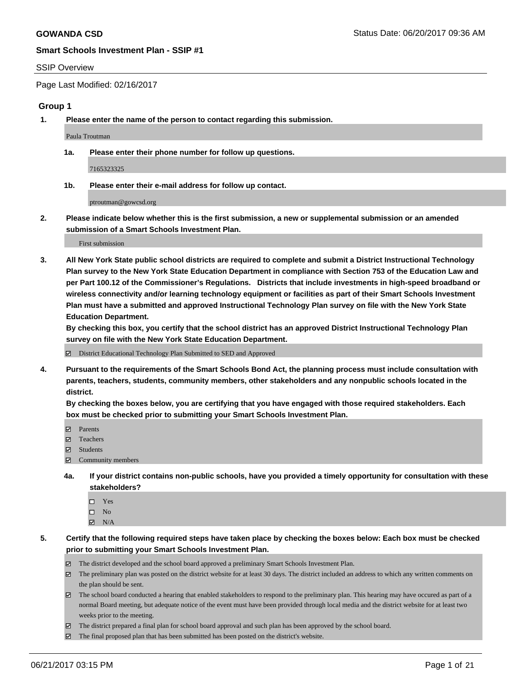#### SSIP Overview

Page Last Modified: 02/16/2017

### **Group 1**

**1. Please enter the name of the person to contact regarding this submission.**

Paula Troutman

**1a. Please enter their phone number for follow up questions.**

7165323325

**1b. Please enter their e-mail address for follow up contact.**

ptroutman@gowcsd.org

**2. Please indicate below whether this is the first submission, a new or supplemental submission or an amended submission of a Smart Schools Investment Plan.**

First submission

**3. All New York State public school districts are required to complete and submit a District Instructional Technology Plan survey to the New York State Education Department in compliance with Section 753 of the Education Law and per Part 100.12 of the Commissioner's Regulations. Districts that include investments in high-speed broadband or wireless connectivity and/or learning technology equipment or facilities as part of their Smart Schools Investment Plan must have a submitted and approved Instructional Technology Plan survey on file with the New York State Education Department.** 

**By checking this box, you certify that the school district has an approved District Instructional Technology Plan survey on file with the New York State Education Department.**

District Educational Technology Plan Submitted to SED and Approved

**4. Pursuant to the requirements of the Smart Schools Bond Act, the planning process must include consultation with parents, teachers, students, community members, other stakeholders and any nonpublic schools located in the district.** 

**By checking the boxes below, you are certifying that you have engaged with those required stakeholders. Each box must be checked prior to submitting your Smart Schools Investment Plan.**

- **マ** Parents
- □ Teachers
- Students
- $\Xi$  Community members
- **4a. If your district contains non-public schools, have you provided a timely opportunity for consultation with these stakeholders?**
	- Yes
	- $\hfill \square$  No
	- $\boxtimes$  N/A
- **5. Certify that the following required steps have taken place by checking the boxes below: Each box must be checked prior to submitting your Smart Schools Investment Plan.**
	- The district developed and the school board approved a preliminary Smart Schools Investment Plan.
	- $\boxtimes$  The preliminary plan was posted on the district website for at least 30 days. The district included an address to which any written comments on the plan should be sent.
	- $\boxtimes$  The school board conducted a hearing that enabled stakeholders to respond to the preliminary plan. This hearing may have occured as part of a normal Board meeting, but adequate notice of the event must have been provided through local media and the district website for at least two weeks prior to the meeting.
	- The district prepared a final plan for school board approval and such plan has been approved by the school board.
	- $\boxtimes$  The final proposed plan that has been submitted has been posted on the district's website.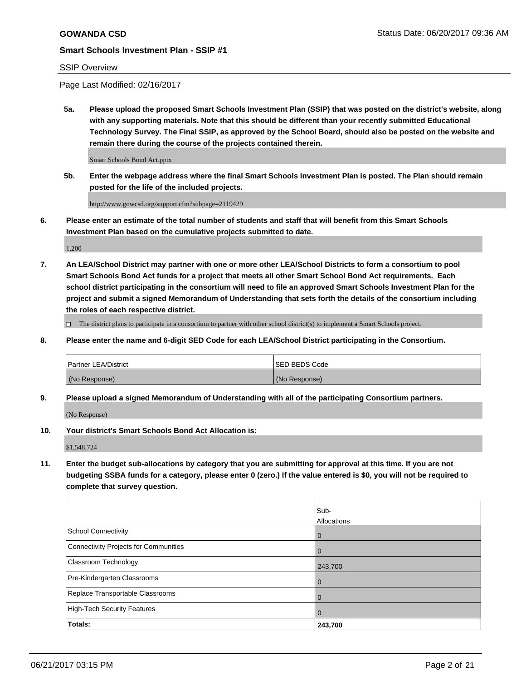# SSIP Overview

Page Last Modified: 02/16/2017

**5a. Please upload the proposed Smart Schools Investment Plan (SSIP) that was posted on the district's website, along with any supporting materials. Note that this should be different than your recently submitted Educational Technology Survey. The Final SSIP, as approved by the School Board, should also be posted on the website and remain there during the course of the projects contained therein.**

Smart Schools Bond Act.pptx

**5b. Enter the webpage address where the final Smart Schools Investment Plan is posted. The Plan should remain posted for the life of the included projects.**

http://www.gowcsd.org/support.cfm?subpage=2119429

**6. Please enter an estimate of the total number of students and staff that will benefit from this Smart Schools Investment Plan based on the cumulative projects submitted to date.**

1,200

**7. An LEA/School District may partner with one or more other LEA/School Districts to form a consortium to pool Smart Schools Bond Act funds for a project that meets all other Smart School Bond Act requirements. Each school district participating in the consortium will need to file an approved Smart Schools Investment Plan for the project and submit a signed Memorandum of Understanding that sets forth the details of the consortium including the roles of each respective district.**

 $\Box$  The district plans to participate in a consortium to partner with other school district(s) to implement a Smart Schools project.

**8. Please enter the name and 6-digit SED Code for each LEA/School District participating in the Consortium.**

| <b>Partner LEA/District</b> | <b>ISED BEDS Code</b> |
|-----------------------------|-----------------------|
| (No Response)               | (No Response)         |

**9. Please upload a signed Memorandum of Understanding with all of the participating Consortium partners.**

(No Response)

**10. Your district's Smart Schools Bond Act Allocation is:**

\$1,548,724

**11. Enter the budget sub-allocations by category that you are submitting for approval at this time. If you are not budgeting SSBA funds for a category, please enter 0 (zero.) If the value entered is \$0, you will not be required to complete that survey question.**

|                                       | Sub-        |
|---------------------------------------|-------------|
|                                       | Allocations |
| <b>School Connectivity</b>            | 0           |
| Connectivity Projects for Communities | $\Omega$    |
| <b>Classroom Technology</b>           | 243,700     |
| Pre-Kindergarten Classrooms           | 0           |
| Replace Transportable Classrooms      | O           |
| <b>High-Tech Security Features</b>    | 0           |
| Totals:                               | 243,700     |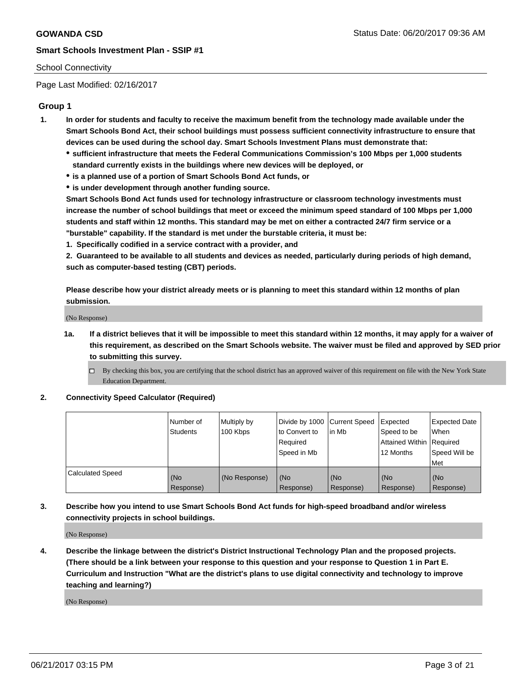# School Connectivity

Page Last Modified: 02/16/2017

# **Group 1**

- **1. In order for students and faculty to receive the maximum benefit from the technology made available under the Smart Schools Bond Act, their school buildings must possess sufficient connectivity infrastructure to ensure that devices can be used during the school day. Smart Schools Investment Plans must demonstrate that:**
	- **sufficient infrastructure that meets the Federal Communications Commission's 100 Mbps per 1,000 students standard currently exists in the buildings where new devices will be deployed, or**
	- **is a planned use of a portion of Smart Schools Bond Act funds, or**
	- **is under development through another funding source.**

**Smart Schools Bond Act funds used for technology infrastructure or classroom technology investments must increase the number of school buildings that meet or exceed the minimum speed standard of 100 Mbps per 1,000 students and staff within 12 months. This standard may be met on either a contracted 24/7 firm service or a "burstable" capability. If the standard is met under the burstable criteria, it must be:**

**1. Specifically codified in a service contract with a provider, and**

**2. Guaranteed to be available to all students and devices as needed, particularly during periods of high demand, such as computer-based testing (CBT) periods.**

**Please describe how your district already meets or is planning to meet this standard within 12 months of plan submission.**

(No Response)

- **1a. If a district believes that it will be impossible to meet this standard within 12 months, it may apply for a waiver of this requirement, as described on the Smart Schools website. The waiver must be filed and approved by SED prior to submitting this survey.**
	- By checking this box, you are certifying that the school district has an approved waiver of this requirement on file with the New York State Education Department.

### **2. Connectivity Speed Calculator (Required)**

|                         | l Number of<br><b>Students</b> | Multiply by<br>100 Kbps | Divide by 1000   Current Speed<br>to Convert to<br>Required<br>l Speed in Mb | in Mb            | Expected<br>Speed to be<br>Attained Within Required<br>12 Months | <b>Expected Date</b><br>When<br>Speed Will be<br><b>Met</b> |
|-------------------------|--------------------------------|-------------------------|------------------------------------------------------------------------------|------------------|------------------------------------------------------------------|-------------------------------------------------------------|
| <b>Calculated Speed</b> | (No<br>Response)               | (No Response)           | (No<br>Response)                                                             | (No<br>Response) | (No<br>Response)                                                 | l (No<br>Response)                                          |

# **3. Describe how you intend to use Smart Schools Bond Act funds for high-speed broadband and/or wireless connectivity projects in school buildings.**

(No Response)

**4. Describe the linkage between the district's District Instructional Technology Plan and the proposed projects. (There should be a link between your response to this question and your response to Question 1 in Part E. Curriculum and Instruction "What are the district's plans to use digital connectivity and technology to improve teaching and learning?)**

(No Response)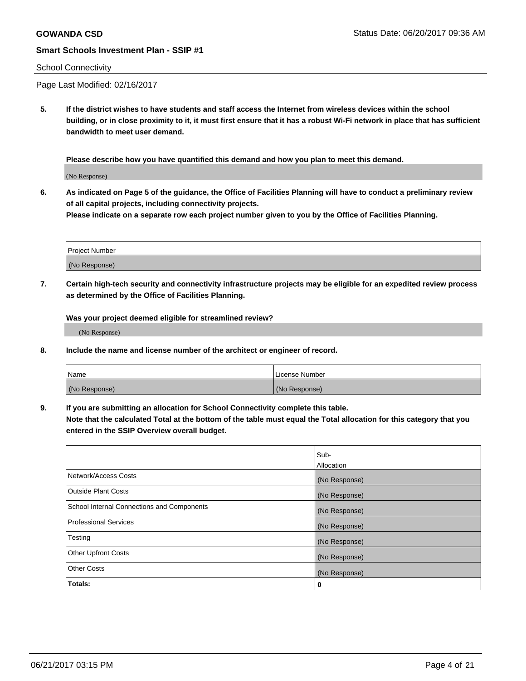#### School Connectivity

Page Last Modified: 02/16/2017

**5. If the district wishes to have students and staff access the Internet from wireless devices within the school building, or in close proximity to it, it must first ensure that it has a robust Wi-Fi network in place that has sufficient bandwidth to meet user demand.**

**Please describe how you have quantified this demand and how you plan to meet this demand.**

(No Response)

**6. As indicated on Page 5 of the guidance, the Office of Facilities Planning will have to conduct a preliminary review of all capital projects, including connectivity projects.**

**Please indicate on a separate row each project number given to you by the Office of Facilities Planning.**

| Project Number |  |
|----------------|--|
|                |  |
| (No Response)  |  |

**7. Certain high-tech security and connectivity infrastructure projects may be eligible for an expedited review process as determined by the Office of Facilities Planning.**

**Was your project deemed eligible for streamlined review?**

(No Response)

**8. Include the name and license number of the architect or engineer of record.**

| Name          | License Number |
|---------------|----------------|
| (No Response) | (No Response)  |

**9. If you are submitting an allocation for School Connectivity complete this table.**

**Note that the calculated Total at the bottom of the table must equal the Total allocation for this category that you entered in the SSIP Overview overall budget.** 

|                                            | Sub-          |
|--------------------------------------------|---------------|
|                                            | Allocation    |
| Network/Access Costs                       | (No Response) |
| Outside Plant Costs                        | (No Response) |
| School Internal Connections and Components | (No Response) |
| <b>Professional Services</b>               | (No Response) |
| Testing                                    | (No Response) |
| <b>Other Upfront Costs</b>                 | (No Response) |
| <b>Other Costs</b>                         | (No Response) |
| Totals:                                    | 0             |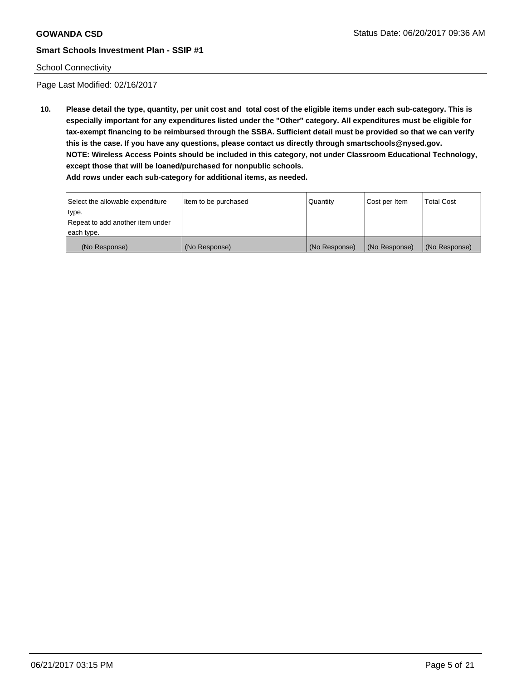### School Connectivity

Page Last Modified: 02/16/2017

**10. Please detail the type, quantity, per unit cost and total cost of the eligible items under each sub-category. This is especially important for any expenditures listed under the "Other" category. All expenditures must be eligible for tax-exempt financing to be reimbursed through the SSBA. Sufficient detail must be provided so that we can verify this is the case. If you have any questions, please contact us directly through smartschools@nysed.gov. NOTE: Wireless Access Points should be included in this category, not under Classroom Educational Technology, except those that will be loaned/purchased for nonpublic schools.**

| Select the allowable expenditure | Item to be purchased | Quantity      | Cost per Item | Total Cost    |
|----------------------------------|----------------------|---------------|---------------|---------------|
| type.                            |                      |               |               |               |
| Repeat to add another item under |                      |               |               |               |
| each type.                       |                      |               |               |               |
| (No Response)                    | (No Response)        | (No Response) | (No Response) | (No Response) |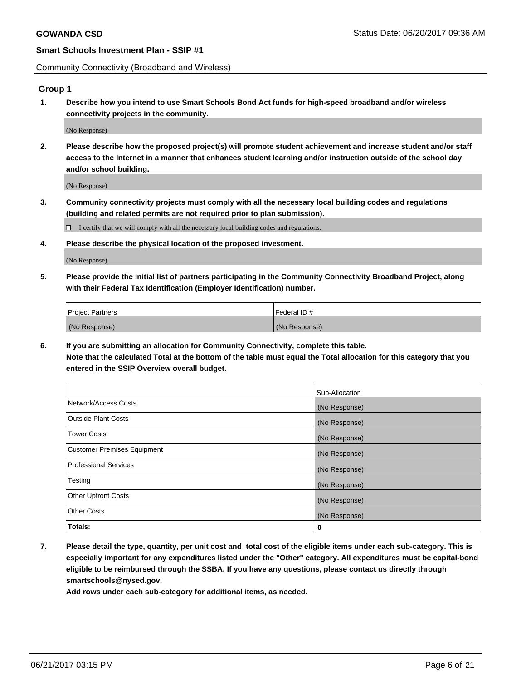Community Connectivity (Broadband and Wireless)

# **Group 1**

**1. Describe how you intend to use Smart Schools Bond Act funds for high-speed broadband and/or wireless connectivity projects in the community.**

(No Response)

**2. Please describe how the proposed project(s) will promote student achievement and increase student and/or staff access to the Internet in a manner that enhances student learning and/or instruction outside of the school day and/or school building.**

(No Response)

**3. Community connectivity projects must comply with all the necessary local building codes and regulations (building and related permits are not required prior to plan submission).**

 $\Box$  I certify that we will comply with all the necessary local building codes and regulations.

**4. Please describe the physical location of the proposed investment.**

(No Response)

**5. Please provide the initial list of partners participating in the Community Connectivity Broadband Project, along with their Federal Tax Identification (Employer Identification) number.**

| <b>Project Partners</b> | l Federal ID # |
|-------------------------|----------------|
| (No Response)           | (No Response)  |

**6. If you are submitting an allocation for Community Connectivity, complete this table. Note that the calculated Total at the bottom of the table must equal the Total allocation for this category that you entered in the SSIP Overview overall budget.**

|                                    | Sub-Allocation |
|------------------------------------|----------------|
| Network/Access Costs               | (No Response)  |
| Outside Plant Costs                | (No Response)  |
| <b>Tower Costs</b>                 | (No Response)  |
| <b>Customer Premises Equipment</b> | (No Response)  |
| Professional Services              | (No Response)  |
| Testing                            | (No Response)  |
| <b>Other Upfront Costs</b>         | (No Response)  |
| <b>Other Costs</b>                 | (No Response)  |
| Totals:                            | 0              |

**7. Please detail the type, quantity, per unit cost and total cost of the eligible items under each sub-category. This is especially important for any expenditures listed under the "Other" category. All expenditures must be capital-bond eligible to be reimbursed through the SSBA. If you have any questions, please contact us directly through smartschools@nysed.gov.**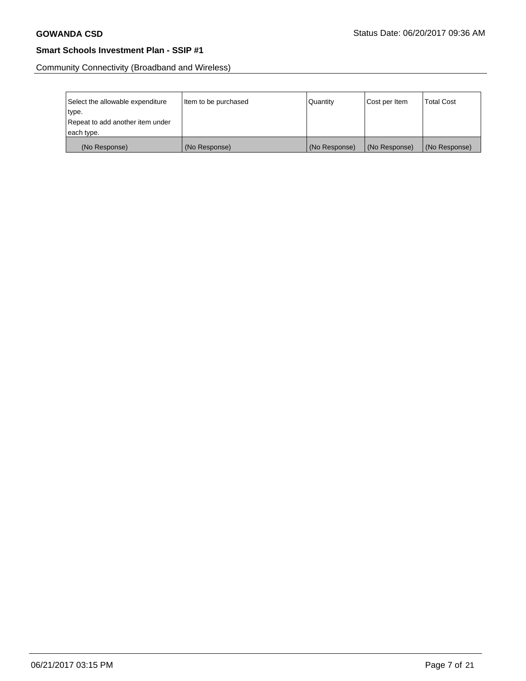Community Connectivity (Broadband and Wireless)

| Select the allowable expenditure<br>type.      | Item to be purchased | Quantity      | Cost per Item | <b>Total Cost</b> |
|------------------------------------------------|----------------------|---------------|---------------|-------------------|
| Repeat to add another item under<br>each type. |                      |               |               |                   |
| (No Response)                                  | (No Response)        | (No Response) | (No Response) | (No Response)     |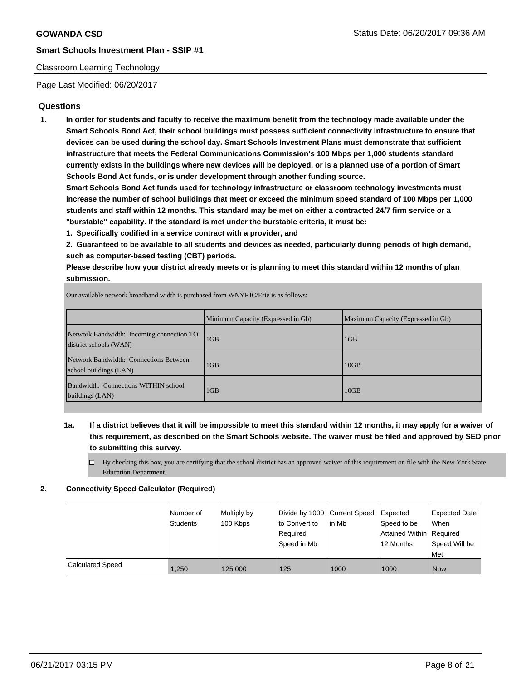## Classroom Learning Technology

Page Last Modified: 06/20/2017

# **Questions**

**1. In order for students and faculty to receive the maximum benefit from the technology made available under the Smart Schools Bond Act, their school buildings must possess sufficient connectivity infrastructure to ensure that devices can be used during the school day. Smart Schools Investment Plans must demonstrate that sufficient infrastructure that meets the Federal Communications Commission's 100 Mbps per 1,000 students standard currently exists in the buildings where new devices will be deployed, or is a planned use of a portion of Smart Schools Bond Act funds, or is under development through another funding source.**

**Smart Schools Bond Act funds used for technology infrastructure or classroom technology investments must increase the number of school buildings that meet or exceed the minimum speed standard of 100 Mbps per 1,000 students and staff within 12 months. This standard may be met on either a contracted 24/7 firm service or a "burstable" capability. If the standard is met under the burstable criteria, it must be:**

- **1. Specifically codified in a service contract with a provider, and**
- **2. Guaranteed to be available to all students and devices as needed, particularly during periods of high demand, such as computer-based testing (CBT) periods.**

**Please describe how your district already meets or is planning to meet this standard within 12 months of plan submission.**

| Our available network broadband width is purchased from WNYRIC/Erie is as follows: |                                    |  |  |  |  |
|------------------------------------------------------------------------------------|------------------------------------|--|--|--|--|
| Minimum Capacity (Expressed in Gb)                                                 | Maximum Capacity (Expressed in Gb) |  |  |  |  |
| 1 <sub>GB</sub>                                                                    | $1$ GB                             |  |  |  |  |
| 1GB                                                                                | 10GB                               |  |  |  |  |
| 1 <sub>GB</sub>                                                                    | 10 <sub>GB</sub>                   |  |  |  |  |
|                                                                                    |                                    |  |  |  |  |

Our available network broadband width is purchased from WNYRIC/Erie is as follows:

- **1a. If a district believes that it will be impossible to meet this standard within 12 months, it may apply for a waiver of this requirement, as described on the Smart Schools website. The waiver must be filed and approved by SED prior to submitting this survey.**
	- $\Box$  By checking this box, you are certifying that the school district has an approved waiver of this requirement on file with the New York State Education Department.

### **2. Connectivity Speed Calculator (Required)**

|                         | I Number of<br><b>Students</b> | Multiply by<br>100 Kbps | Divide by 1000 Current Speed<br>to Convert to<br>Required<br>Speed in Mb | lin Mb | Expected<br>Speed to be<br>Attained Within Required<br>12 Months | Expected Date<br>When<br>Speed Will be<br>Met |
|-------------------------|--------------------------------|-------------------------|--------------------------------------------------------------------------|--------|------------------------------------------------------------------|-----------------------------------------------|
| <b>Calculated Speed</b> | 1.250                          | 125.000                 | 125                                                                      | 1000   | 1000                                                             | <b>Now</b>                                    |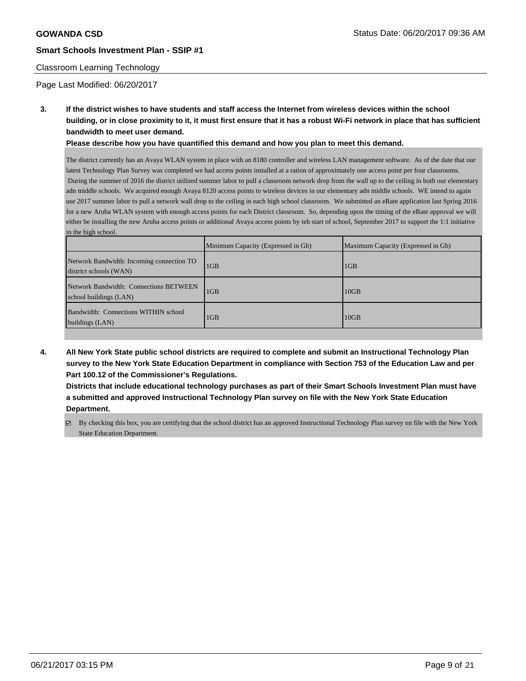#### Classroom Learning Technology

Page Last Modified: 06/20/2017

**3. If the district wishes to have students and staff access the Internet from wireless devices within the school building, or in close proximity to it, it must first ensure that it has a robust Wi-Fi network in place that has sufficient bandwidth to meet user demand.**

**Please describe how you have quantified this demand and how you plan to meet this demand.**

The district currently has an Avaya WLAN system in place with an 8180 controller and wireless LAN management software. As of the date that our latest Technology Plan Survey was completed we had access points installed at a ration of approximately one access point per four classrooms. During the summer of 2016 the district utilized summer labor to pull a classroom network drop from the wall up to the ceiling in both our elementary adn middle schools. We acquired enough Avaya 8120 access points to wireless devices in our elementary adn middle schools. WE intend to again use 2017 summer labor to pull a network wall drop to the ceiling in each high school classroom. We submitted an eRate application last Spring 2016 for a new Aruba WLAN system with enough access points for each District classroom. So, depending upon the timing of the eRate approval we will either be installing the new Aruba access points or additional Avaya access points by teh start of school, September 2017 to support the 1:1 initiative in the high school.

|                                                                     | Minimum Capacity (Expressed in Gb) | Maximum Capacity (Expressed in Gb) |
|---------------------------------------------------------------------|------------------------------------|------------------------------------|
| Network Bandwidth: Incoming connection TO<br>district schools (WAN) | 1 <sub>GB</sub>                    | 1GB                                |
| Network Bandwidth: Connections BETWEEN<br>school buildings (LAN)    | 1GB                                | 10GB                               |
| Bandwidth: Connections WITHIN school<br>buildings (LAN)             | 1GB                                | 10GB                               |

**4. All New York State public school districts are required to complete and submit an Instructional Technology Plan survey to the New York State Education Department in compliance with Section 753 of the Education Law and per Part 100.12 of the Commissioner's Regulations.**

**Districts that include educational technology purchases as part of their Smart Schools Investment Plan must have a submitted and approved Instructional Technology Plan survey on file with the New York State Education Department.**

By checking this box, you are certifying that the school district has an approved Instructional Technology Plan survey on file with the New York State Education Department.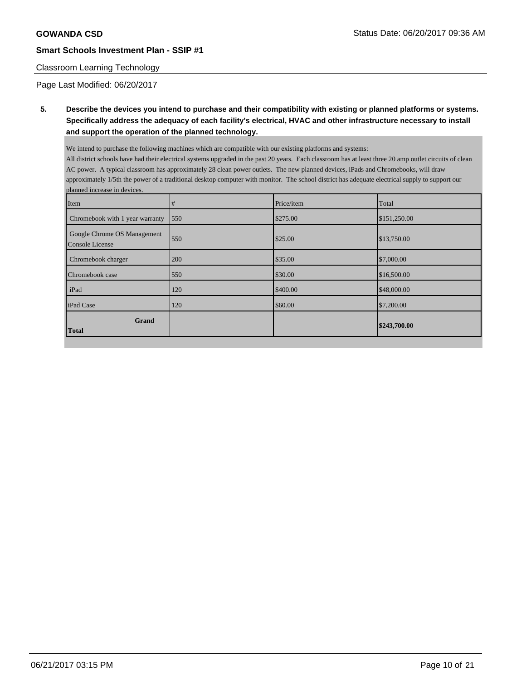### Classroom Learning Technology

Page Last Modified: 06/20/2017

# **5. Describe the devices you intend to purchase and their compatibility with existing or planned platforms or systems. Specifically address the adequacy of each facility's electrical, HVAC and other infrastructure necessary to install and support the operation of the planned technology.**

We intend to purchase the following machines which are compatible with our existing platforms and systems: All district schools have had their electrical systems upgraded in the past 20 years. Each classroom has at least three 20 amp outlet circuits of clean AC power. A typical classroom has approximately 28 clean power outlets. The new planned devices, iPads and Chromebooks, will draw approximately 1/5th the power of a traditional desktop computer with monitor. The school district has adequate electrical supply to support our planned increase in devices.

| Item                                           | #          | Price/item | Total        |
|------------------------------------------------|------------|------------|--------------|
| Chromebook with 1 year warranty                | 550        | \$275.00   | \$151,250.00 |
| Google Chrome OS Management<br>Console License | 550        | \$25.00    | \$13,750.00  |
| Chromebook charger                             | <b>200</b> | \$35.00    | \$7,000.00   |
| Chromebook case                                | 550        | \$30.00    | \$16,500.00  |
| iPad                                           | 120        | \$400.00   | \$48,000.00  |
| iPad Case                                      | 120        | \$60.00    | \$7,200.00   |
| <b>Grand</b><br><b>Total</b>                   |            |            | \$243,700.00 |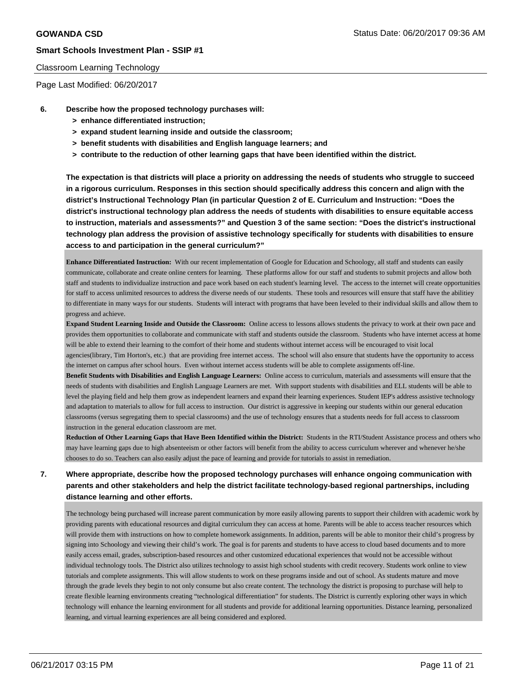#### Classroom Learning Technology

Page Last Modified: 06/20/2017

- **6. Describe how the proposed technology purchases will:**
	- **> enhance differentiated instruction;**
	- **> expand student learning inside and outside the classroom;**
	- **> benefit students with disabilities and English language learners; and**
	- **> contribute to the reduction of other learning gaps that have been identified within the district.**

**The expectation is that districts will place a priority on addressing the needs of students who struggle to succeed in a rigorous curriculum. Responses in this section should specifically address this concern and align with the district's Instructional Technology Plan (in particular Question 2 of E. Curriculum and Instruction: "Does the district's instructional technology plan address the needs of students with disabilities to ensure equitable access to instruction, materials and assessments?" and Question 3 of the same section: "Does the district's instructional technology plan address the provision of assistive technology specifically for students with disabilities to ensure access to and participation in the general curriculum?"**

**Enhance Differentiated Instruction:** With our recent implementation of Google for Education and Schoology, all staff and students can easily communicate, collaborate and create online centers for learning. These platforms allow for our staff and students to submit projects and allow both staff and students to individualize instruction and pace work based on each student's learning level. The access to the internet will create opportunities for staff to access unlimited resources to address the diverse needs of our students. These tools and resources will ensure that staff have the abilitiey to differentiate in many ways for our students. Students will interact with programs that have been leveled to their individual skills and allow them to progress and achieve.

**Expand Student Learning Inside and Outside the Classroom:** Online access to lessons allows students the privacy to work at their own pace and provides them opportunities to collaborate and communicate with staff and students outside the classroom. Students who have internet access at home will be able to extend their learning to the comfort of their home and students without internet access will be encouraged to visit local agencies(library, Tim Horton's, etc.) that are providing free internet access. The school will also ensure that students have the opportunity to access the internet on campus after school hours. Even without internet access students will be able to complete assignments off-line.

**Benefit Students with Disabilities and English Language Learners:** Online access to curriculum, materials and assessments will ensure that the needs of students with disabilities and English Language Learners are met. With support students with disabilities and ELL students will be able to level the playing field and help them grow as independent learners and expand their learning experiences. Student IEP's address assistive technology and adaptation to materials to allow for full access to instruction. Our district is aggressive in keeping our students within our general education classrooms (versus segregating them to special classrooms) and the use of technology ensures that a students needs for full access to classroom instruction in the general education classroom are met.

Reduction of Other Learning Gaps that Have Been Identified within the District: Students in the RTI/Student Assistance process and others who may have learning gaps due to high absenteeism or other factors will benefit from the ability to access curriculum wherever and whenever he/she chooses to do so. Teachers can also easily adjust the pace of learning and provide for tutorials to assist in remediation.

# **7. Where appropriate, describe how the proposed technology purchases will enhance ongoing communication with parents and other stakeholders and help the district facilitate technology-based regional partnerships, including distance learning and other efforts.**

The technology being purchased will increase parent communication by more easily allowing parents to support their children with academic work by providing parents with educational resources and digital curriculum they can access at home. Parents will be able to access teacher resources which will provide them with instructions on how to complete homework assignments. In addition, parents will be able to monitor their child's progress by signing into Schoology and viewing their child's work. The goal is for parents and students to have access to cloud based documents and to more easily access email, grades, subscription-based resources and other customized educational experiences that would not be accessible without individual technology tools. The District also utilizes technology to assist high school students with credit recovery. Students work online to view tutorials and complete assignments. This will allow students to work on these programs inside and out of school. As students mature and move through the grade levels they begin to not only consume but also create content. The technology the district is proposing to purchase will help to create flexible learning environments creating "technological differentiation" for students. The District is currently exploring other ways in which technology will enhance the learning environment for all students and provide for additional learning opportunities. Distance learning, personalized learning, and virtual learning experiences are all being considered and explored.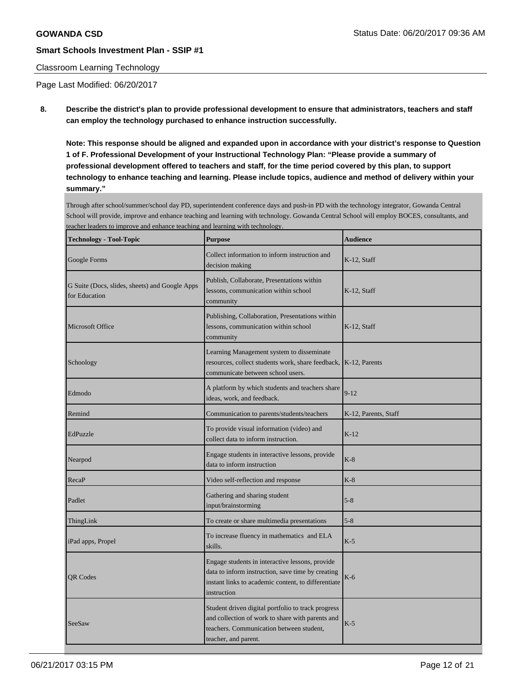## Classroom Learning Technology

Page Last Modified: 06/20/2017

**8. Describe the district's plan to provide professional development to ensure that administrators, teachers and staff can employ the technology purchased to enhance instruction successfully.**

**Note: This response should be aligned and expanded upon in accordance with your district's response to Question 1 of F. Professional Development of your Instructional Technology Plan: "Please provide a summary of professional development offered to teachers and staff, for the time period covered by this plan, to support technology to enhance teaching and learning. Please include topics, audience and method of delivery within your summary."**

Through after school/summer/school day PD, superintendent conference days and push-in PD with the technology integrator, Gowanda Central School will provide, improve and enhance teaching and learning with technology. Gowanda Central School will employ BOCES, consultants, and teacher leaders to improve and enhance teaching and learning with technology.

| <b>Technology - Tool-Topic</b>                                  | <b>Purpose</b>                                                                                                                                                             | <b>Audience</b>      |
|-----------------------------------------------------------------|----------------------------------------------------------------------------------------------------------------------------------------------------------------------------|----------------------|
| Google Forms                                                    | Collect information to inform instruction and<br>decision making                                                                                                           | K-12, Staff          |
| G Suite (Docs, slides, sheets) and Google Apps<br>for Education | Publish, Collaborate, Presentations within<br>lessons, communication within school<br>community                                                                            | K-12, Staff          |
| <b>Microsoft Office</b>                                         | Publishing, Collaboration, Presentations within<br>lessons, communication within school<br>community                                                                       | K-12, Staff          |
| Schoology                                                       | Learning Management system to disseminate<br>resources, collect students work, share feedback,<br>communicate between school users.                                        | K-12, Parents        |
| Edmodo                                                          | A platform by which students and teachers share<br>ideas, work, and feedback.                                                                                              | $9 - 12$             |
| Remind                                                          | Communication to parents/students/teachers                                                                                                                                 | K-12, Parents, Staff |
| EdPuzzle                                                        | To provide visual information (video) and<br>collect data to inform instruction.                                                                                           | $K-12$               |
| Nearpod                                                         | Engage students in interactive lessons, provide<br>data to inform instruction                                                                                              | $K-8$                |
| RecaP                                                           | Video self-reflection and response                                                                                                                                         | $K-8$                |
| Padlet                                                          | Gathering and sharing student<br>input/brainstorming                                                                                                                       | $5 - 8$              |
| ThingLink                                                       | To create or share multimedia presentations                                                                                                                                | $5 - 8$              |
| iPad apps, Propel                                               | To increase fluency in mathematics and ELA<br>skills.                                                                                                                      | $K-5$                |
| <b>QR</b> Codes                                                 | Engage students in interactive lessons, provide<br>data to inform instruction, save time by creating<br>instant links to academic content, to differentiate<br>instruction | $K-6$                |
| SeeSaw                                                          | Student driven digital portfolio to track progress<br>and collection of work to share with parents and<br>teachers. Communication between student,<br>teacher, and parent. | $K-5$                |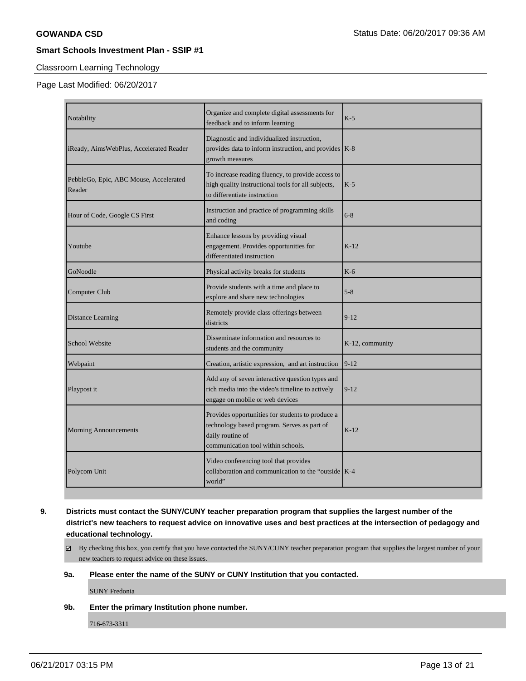# Classroom Learning Technology

Page Last Modified: 06/20/2017

| Notability                                       | Organize and complete digital assessments for<br>feedback and to inform learning                                                                          | $K-5$           |
|--------------------------------------------------|-----------------------------------------------------------------------------------------------------------------------------------------------------------|-----------------|
| iReady, AimsWebPlus, Accelerated Reader          | Diagnostic and individualized instruction,<br>provides data to inform instruction, and provides $K-8$<br>growth measures                                  |                 |
| PebbleGo, Epic, ABC Mouse, Accelerated<br>Reader | To increase reading fluency, to provide access to<br>high quality instructional tools for all subjects,<br>to differentiate instruction                   | $K-5$           |
| Hour of Code, Google CS First                    | Instruction and practice of programming skills<br>and coding                                                                                              | $6 - 8$         |
| Youtube                                          | Enhance lessons by providing visual<br>engagement. Provides opportunities for<br>differentiated instruction                                               | $K-12$          |
| GoNoodle                                         | Physical activity breaks for students                                                                                                                     | $K-6$           |
| Computer Club                                    | Provide students with a time and place to<br>explore and share new technologies                                                                           | $5 - 8$         |
| Distance Learning                                | Remotely provide class offerings between<br>districts                                                                                                     | $9 - 12$        |
| <b>School Website</b>                            | Disseminate information and resources to<br>students and the community                                                                                    | K-12, community |
| Webpaint                                         | Creation, artistic expression, and art instruction                                                                                                        | $9 - 12$        |
| Playpost it                                      | Add any of seven interactive question types and<br>rich media into the video's timeline to actively<br>engage on mobile or web devices                    | $9 - 12$        |
| <b>Morning Announcements</b>                     | Provides opportunities for students to produce a<br>technology based program. Serves as part of<br>daily routine of<br>communication tool within schools. | $K-12$          |
| Polycom Unit                                     | Video conferencing tool that provides<br>collaboration and communication to the "outside $K-4$<br>world"                                                  |                 |

**9. Districts must contact the SUNY/CUNY teacher preparation program that supplies the largest number of the district's new teachers to request advice on innovative uses and best practices at the intersection of pedagogy and educational technology.**

By checking this box, you certify that you have contacted the SUNY/CUNY teacher preparation program that supplies the largest number of your new teachers to request advice on these issues.

#### **9a. Please enter the name of the SUNY or CUNY Institution that you contacted.**

SUNY Fredonia

**9b. Enter the primary Institution phone number.**

716-673-3311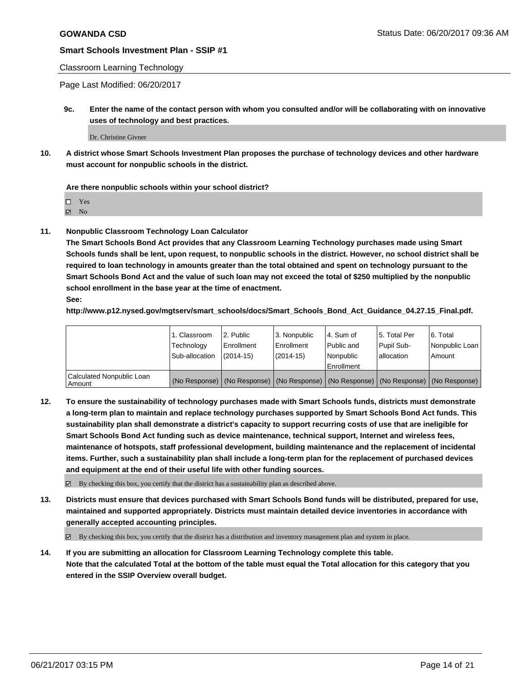## Classroom Learning Technology

Page Last Modified: 06/20/2017

**9c. Enter the name of the contact person with whom you consulted and/or will be collaborating with on innovative uses of technology and best practices.**

Dr. Christine Givner

**10. A district whose Smart Schools Investment Plan proposes the purchase of technology devices and other hardware must account for nonpublic schools in the district.**

**Are there nonpublic schools within your school district?**

Yes

 $\boxtimes$  No

**11. Nonpublic Classroom Technology Loan Calculator**

**The Smart Schools Bond Act provides that any Classroom Learning Technology purchases made using Smart Schools funds shall be lent, upon request, to nonpublic schools in the district. However, no school district shall be required to loan technology in amounts greater than the total obtained and spent on technology pursuant to the Smart Schools Bond Act and the value of such loan may not exceed the total of \$250 multiplied by the nonpublic school enrollment in the base year at the time of enactment.**

**See:**

**http://www.p12.nysed.gov/mgtserv/smart\_schools/docs/Smart\_Schools\_Bond\_Act\_Guidance\_04.27.15\_Final.pdf.**

|                                       | 1. Classroom   | 2. Public  | 3. Nonpublic | l 4. Sum of | l 5. Total Per | l 6. Total                                                                                    |
|---------------------------------------|----------------|------------|--------------|-------------|----------------|-----------------------------------------------------------------------------------------------|
|                                       | Technology     | Enrollment | Enrollment   | Public and  | Pupil Sub-     | Nonpublic Loan                                                                                |
|                                       | Sub-allocation | (2014-15)  | (2014-15)    | l Nonpublic | allocation     | Amount                                                                                        |
|                                       |                |            |              | Enrollment  |                |                                                                                               |
| Calculated Nonpublic Loan<br>  Amount |                |            |              |             |                | (No Response)   (No Response)   (No Response)   (No Response)   (No Response)   (No Response) |

**12. To ensure the sustainability of technology purchases made with Smart Schools funds, districts must demonstrate a long-term plan to maintain and replace technology purchases supported by Smart Schools Bond Act funds. This sustainability plan shall demonstrate a district's capacity to support recurring costs of use that are ineligible for Smart Schools Bond Act funding such as device maintenance, technical support, Internet and wireless fees, maintenance of hotspots, staff professional development, building maintenance and the replacement of incidental items. Further, such a sustainability plan shall include a long-term plan for the replacement of purchased devices and equipment at the end of their useful life with other funding sources.**

 $\boxtimes$  By checking this box, you certify that the district has a sustainability plan as described above.

**13. Districts must ensure that devices purchased with Smart Schools Bond funds will be distributed, prepared for use, maintained and supported appropriately. Districts must maintain detailed device inventories in accordance with generally accepted accounting principles.**

By checking this box, you certify that the district has a distribution and inventory management plan and system in place.

**14. If you are submitting an allocation for Classroom Learning Technology complete this table. Note that the calculated Total at the bottom of the table must equal the Total allocation for this category that you entered in the SSIP Overview overall budget.**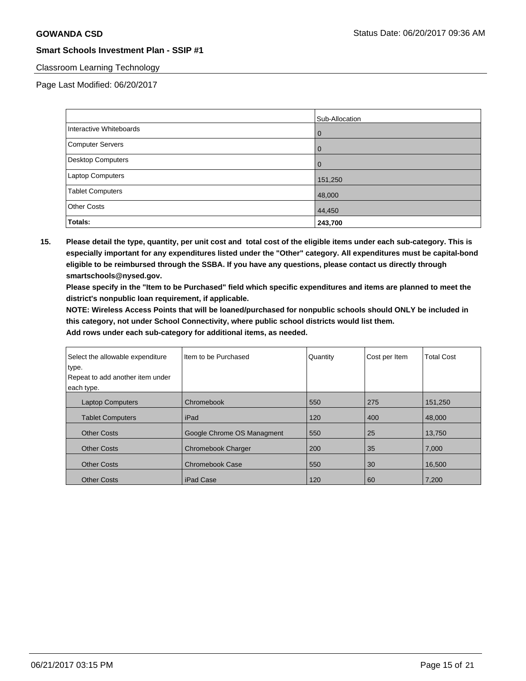# Classroom Learning Technology

Page Last Modified: 06/20/2017

|                         | Sub-Allocation |
|-------------------------|----------------|
| Interactive Whiteboards | 0              |
| Computer Servers        |                |
| Desktop Computers       |                |
| <b>Laptop Computers</b> | 151,250        |
| <b>Tablet Computers</b> | 48,000         |
| <b>Other Costs</b>      | 44,450         |
| Totals:                 | 243,700        |

**15. Please detail the type, quantity, per unit cost and total cost of the eligible items under each sub-category. This is especially important for any expenditures listed under the "Other" category. All expenditures must be capital-bond eligible to be reimbursed through the SSBA. If you have any questions, please contact us directly through smartschools@nysed.gov.**

**Please specify in the "Item to be Purchased" field which specific expenditures and items are planned to meet the district's nonpublic loan requirement, if applicable.**

**NOTE: Wireless Access Points that will be loaned/purchased for nonpublic schools should ONLY be included in this category, not under School Connectivity, where public school districts would list them.**

| Select the allowable expenditure | I Item to be Purchased     | Quantity | Cost per Item | <b>Total Cost</b> |
|----------------------------------|----------------------------|----------|---------------|-------------------|
| type.                            |                            |          |               |                   |
| Repeat to add another item under |                            |          |               |                   |
| each type.                       |                            |          |               |                   |
| <b>Laptop Computers</b>          | Chromebook                 | 550      | 275           | 151,250           |
| <b>Tablet Computers</b>          | iPad                       | 120      | 400           | 48,000            |
| <b>Other Costs</b>               | Google Chrome OS Managment | 550      | 25            | 13,750            |
| <b>Other Costs</b>               | Chromebook Charger         | 200      | 35            | 7,000             |
| <b>Other Costs</b>               | <b>Chromebook Case</b>     | 550      | 30            | 16,500            |
| <b>Other Costs</b>               | iPad Case                  | 120      | 60            | 7,200             |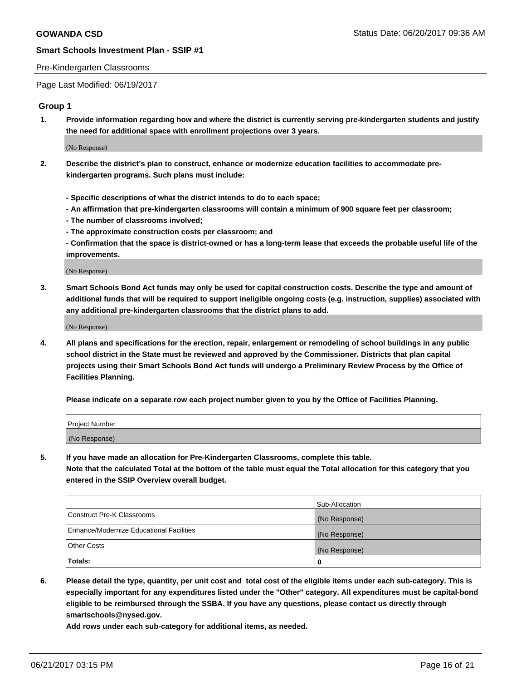### Pre-Kindergarten Classrooms

Page Last Modified: 06/19/2017

# **Group 1**

**1. Provide information regarding how and where the district is currently serving pre-kindergarten students and justify the need for additional space with enrollment projections over 3 years.**

(No Response)

- **2. Describe the district's plan to construct, enhance or modernize education facilities to accommodate prekindergarten programs. Such plans must include:**
	- **Specific descriptions of what the district intends to do to each space;**
	- **An affirmation that pre-kindergarten classrooms will contain a minimum of 900 square feet per classroom;**
	- **The number of classrooms involved;**
	- **The approximate construction costs per classroom; and**
	- **Confirmation that the space is district-owned or has a long-term lease that exceeds the probable useful life of the improvements.**

(No Response)

**3. Smart Schools Bond Act funds may only be used for capital construction costs. Describe the type and amount of additional funds that will be required to support ineligible ongoing costs (e.g. instruction, supplies) associated with any additional pre-kindergarten classrooms that the district plans to add.**

(No Response)

**4. All plans and specifications for the erection, repair, enlargement or remodeling of school buildings in any public school district in the State must be reviewed and approved by the Commissioner. Districts that plan capital projects using their Smart Schools Bond Act funds will undergo a Preliminary Review Process by the Office of Facilities Planning.**

**Please indicate on a separate row each project number given to you by the Office of Facilities Planning.**

| Project Number |  |
|----------------|--|
| (No Response)  |  |

**5. If you have made an allocation for Pre-Kindergarten Classrooms, complete this table. Note that the calculated Total at the bottom of the table must equal the Total allocation for this category that you entered in the SSIP Overview overall budget.**

| Totals:                                  | 0              |
|------------------------------------------|----------------|
| Other Costs                              | (No Response)  |
| Enhance/Modernize Educational Facilities | (No Response)  |
| Construct Pre-K Classrooms               | (No Response)  |
|                                          | Sub-Allocation |

**6. Please detail the type, quantity, per unit cost and total cost of the eligible items under each sub-category. This is especially important for any expenditures listed under the "Other" category. All expenditures must be capital-bond eligible to be reimbursed through the SSBA. If you have any questions, please contact us directly through smartschools@nysed.gov.**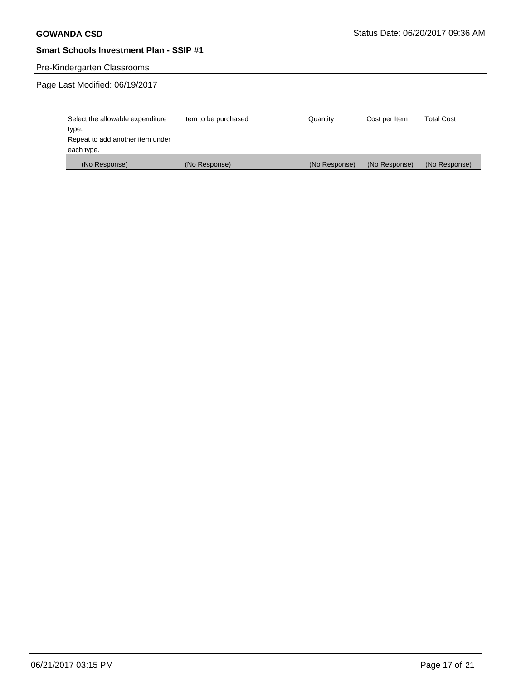# Pre-Kindergarten Classrooms

Page Last Modified: 06/19/2017

| Select the allowable expenditure | Item to be purchased | Quantity      | Cost per Item | <b>Total Cost</b> |
|----------------------------------|----------------------|---------------|---------------|-------------------|
| type.                            |                      |               |               |                   |
| Repeat to add another item under |                      |               |               |                   |
| each type.                       |                      |               |               |                   |
| (No Response)                    | (No Response)        | (No Response) | (No Response) | (No Response)     |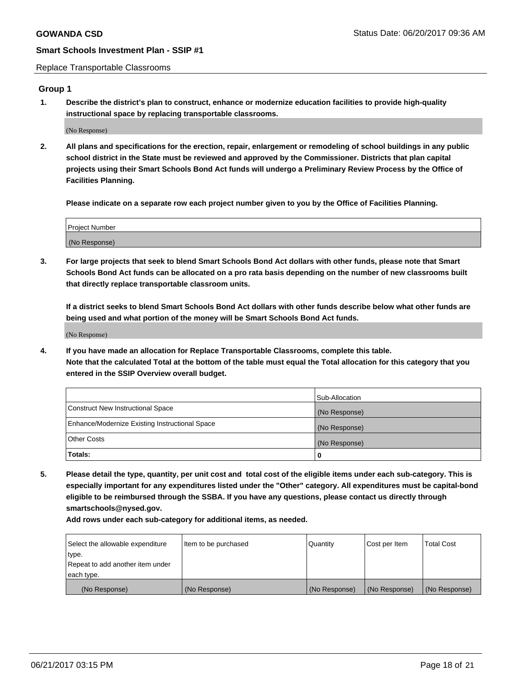Replace Transportable Classrooms

# **Group 1**

**1. Describe the district's plan to construct, enhance or modernize education facilities to provide high-quality instructional space by replacing transportable classrooms.**

(No Response)

**2. All plans and specifications for the erection, repair, enlargement or remodeling of school buildings in any public school district in the State must be reviewed and approved by the Commissioner. Districts that plan capital projects using their Smart Schools Bond Act funds will undergo a Preliminary Review Process by the Office of Facilities Planning.**

**Please indicate on a separate row each project number given to you by the Office of Facilities Planning.**

| Project Number |  |
|----------------|--|
| (No Response)  |  |

**3. For large projects that seek to blend Smart Schools Bond Act dollars with other funds, please note that Smart Schools Bond Act funds can be allocated on a pro rata basis depending on the number of new classrooms built that directly replace transportable classroom units.**

**If a district seeks to blend Smart Schools Bond Act dollars with other funds describe below what other funds are being used and what portion of the money will be Smart Schools Bond Act funds.**

(No Response)

**4. If you have made an allocation for Replace Transportable Classrooms, complete this table. Note that the calculated Total at the bottom of the table must equal the Total allocation for this category that you entered in the SSIP Overview overall budget.**

|                                                | Sub-Allocation |
|------------------------------------------------|----------------|
| Construct New Instructional Space              | (No Response)  |
| Enhance/Modernize Existing Instructional Space | (No Response)  |
| Other Costs                                    | (No Response)  |
| Totals:                                        | 0              |

**5. Please detail the type, quantity, per unit cost and total cost of the eligible items under each sub-category. This is especially important for any expenditures listed under the "Other" category. All expenditures must be capital-bond eligible to be reimbursed through the SSBA. If you have any questions, please contact us directly through smartschools@nysed.gov.**

| Select the allowable expenditure | Item to be purchased | Quantity      | Cost per Item | <b>Total Cost</b> |
|----------------------------------|----------------------|---------------|---------------|-------------------|
| type.                            |                      |               |               |                   |
| Repeat to add another item under |                      |               |               |                   |
| each type.                       |                      |               |               |                   |
| (No Response)                    | (No Response)        | (No Response) | (No Response) | (No Response)     |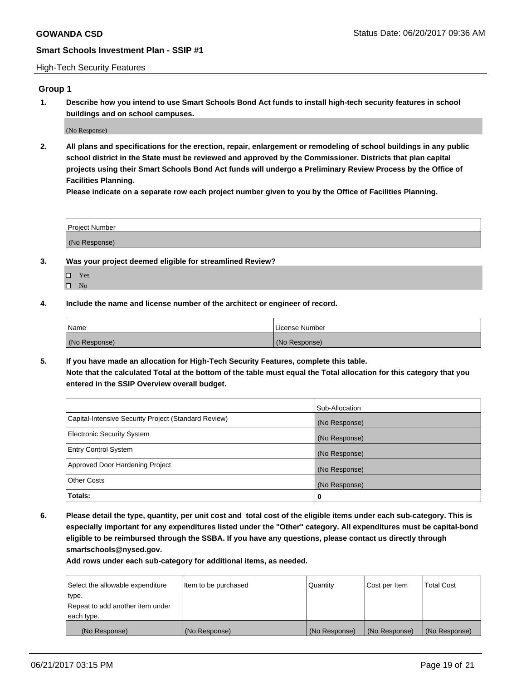#### High-Tech Security Features

# **Group 1**

**1. Describe how you intend to use Smart Schools Bond Act funds to install high-tech security features in school buildings and on school campuses.**

(No Response)

**2. All plans and specifications for the erection, repair, enlargement or remodeling of school buildings in any public school district in the State must be reviewed and approved by the Commissioner. Districts that plan capital projects using their Smart Schools Bond Act funds will undergo a Preliminary Review Process by the Office of Facilities Planning.** 

**Please indicate on a separate row each project number given to you by the Office of Facilities Planning.**

| <b>Project Number</b> |  |
|-----------------------|--|
| (No Response)         |  |

- **3. Was your project deemed eligible for streamlined Review?**
	- Yes  $\square$  No
- **4. Include the name and license number of the architect or engineer of record.**

| <b>Name</b>   | License Number |
|---------------|----------------|
| (No Response) | (No Response)  |

**5. If you have made an allocation for High-Tech Security Features, complete this table. Note that the calculated Total at the bottom of the table must equal the Total allocation for this category that you entered in the SSIP Overview overall budget.**

|                                                      | Sub-Allocation |
|------------------------------------------------------|----------------|
| Capital-Intensive Security Project (Standard Review) | (No Response)  |
| <b>Electronic Security System</b>                    | (No Response)  |
| <b>Entry Control System</b>                          | (No Response)  |
| Approved Door Hardening Project                      | (No Response)  |
| <b>Other Costs</b>                                   | (No Response)  |
| Totals:                                              | 0              |

**6. Please detail the type, quantity, per unit cost and total cost of the eligible items under each sub-category. This is especially important for any expenditures listed under the "Other" category. All expenditures must be capital-bond eligible to be reimbursed through the SSBA. If you have any questions, please contact us directly through smartschools@nysed.gov.**

| Select the allowable expenditure | Item to be purchased | Quantity      | Cost per Item | <b>Total Cost</b> |
|----------------------------------|----------------------|---------------|---------------|-------------------|
| type.                            |                      |               |               |                   |
| Repeat to add another item under |                      |               |               |                   |
| each type.                       |                      |               |               |                   |
| (No Response)                    | (No Response)        | (No Response) | (No Response) | (No Response)     |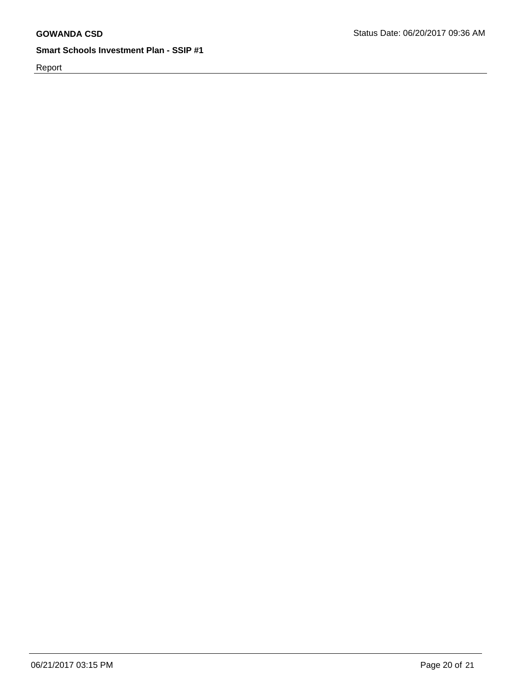Report